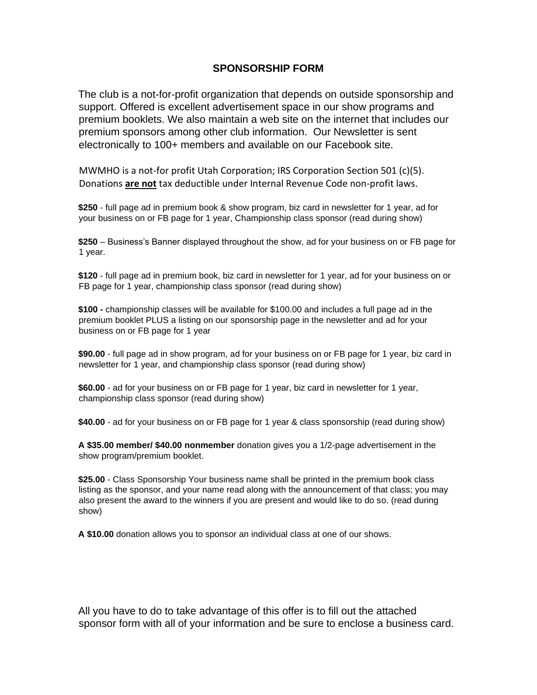#### **SPONSORSHIP FORM**

The club is a not-for-profit organization that depends on outside sponsorship and support. Offered is excellent advertisement space in our show programs and premium booklets. We also maintain a web site on the internet that includes our premium sponsors among other club information. Our Newsletter is sent electronically to 100+ members and available on our Facebook site.

MWMHO is a not-for profit Utah Corporation; IRS Corporation Section 501 (c)(5). Donations **are not** tax deductible under Internal Revenue Code non-profit laws.

**\$250** - full page ad in premium book & show program, biz card in newsletter for 1 year, ad for your business on or FB page for 1 year, Championship class sponsor (read during show)

**\$250** – Business's Banner displayed throughout the show, ad for your business on or FB page for 1 year.

**\$120** - full page ad in premium book, biz card in newsletter for 1 year, ad for your business on or FB page for 1 year, championship class sponsor (read during show)

**\$100 -** championship classes will be available for \$100.00 and includes a full page ad in the premium booklet PLUS a listing on our sponsorship page in the newsletter and ad for your business on or FB page for 1 year

**\$90.00** - full page ad in show program, ad for your business on or FB page for 1 year, biz card in newsletter for 1 year, and championship class sponsor (read during show)

**\$60.00** - ad for your business on or FB page for 1 year, biz card in newsletter for 1 year, championship class sponsor (read during show)

**\$40.00** - ad for your business on or FB page for 1 year & class sponsorship (read during show)

**A \$35.00 member/ \$40.00 nonmember** donation gives you a 1/2-page advertisement in the show program/premium booklet.

**\$25.00** - Class Sponsorship Your business name shall be printed in the premium book class listing as the sponsor, and your name read along with the announcement of that class; you may also present the award to the winners if you are present and would like to do so. (read during show)

**A \$10.00** donation allows you to sponsor an individual class at one of our shows.

All you have to do to take advantage of this offer is to fill out the attached sponsor form with all of your information and be sure to enclose a business card.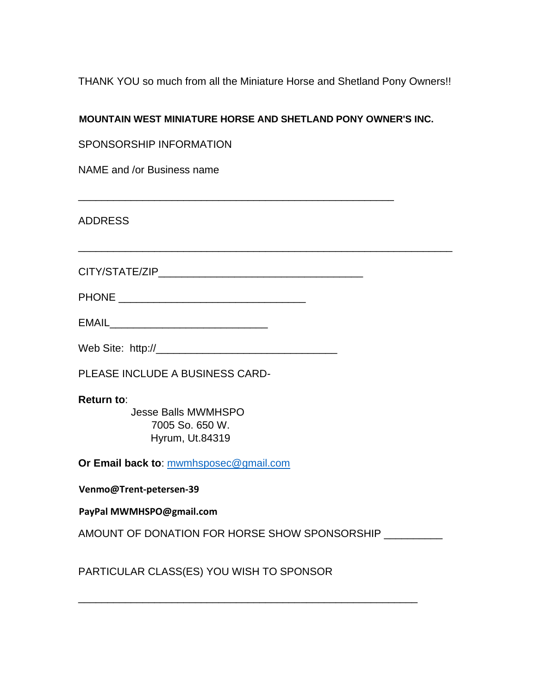THANK YOU so much from all the Miniature Horse and Shetland Pony Owners!!

\_\_\_\_\_\_\_\_\_\_\_\_\_\_\_\_\_\_\_\_\_\_\_\_\_\_\_\_\_\_\_\_\_\_\_\_\_\_\_\_\_\_\_\_\_\_\_\_\_\_\_\_\_\_\_\_\_\_\_\_\_\_\_\_

## **MOUNTAIN WEST MINIATURE HORSE AND SHETLAND PONY OWNER'S INC.**

\_\_\_\_\_\_\_\_\_\_\_\_\_\_\_\_\_\_\_\_\_\_\_\_\_\_\_\_\_\_\_\_\_\_\_\_\_\_\_\_\_\_\_\_\_\_\_\_\_\_\_\_\_\_

SPONSORSHIP INFORMATION

NAME and /or Business name

## ADDRESS

CITY/STATE/ZIP\_\_\_\_\_\_\_\_\_\_\_\_\_\_\_\_\_\_\_\_\_\_\_\_\_\_\_\_\_\_\_\_\_\_\_

PHONE \_\_\_\_\_\_\_\_\_\_\_\_\_\_\_\_\_\_\_\_\_\_\_\_\_\_\_\_\_\_\_\_

Web Site: http://\_\_\_\_\_\_\_\_\_\_\_\_\_\_\_\_\_\_\_\_\_\_\_\_\_\_\_\_\_\_\_

PLEASE INCLUDE A BUSINESS CARD-

## **Return to**:

 Jesse Balls MWMHSPO 7005 So. 650 W. Hyrum, Ut.84319

**Or Email back to**: [mwmhsposec@gmail.com](mailto:mwmhsposec@gmail.com)

**Venmo@Trent-petersen-39**

**PayPal MWMHSPO@gmail.com**

AMOUNT OF DONATION FOR HORSE SHOW SPONSORSHIP

\_\_\_\_\_\_\_\_\_\_\_\_\_\_\_\_\_\_\_\_\_\_\_\_\_\_\_\_\_\_\_\_\_\_\_\_\_\_\_\_\_\_\_\_\_\_\_\_\_\_\_\_\_\_\_\_\_\_

PARTICULAR CLASS(ES) YOU WISH TO SPONSOR